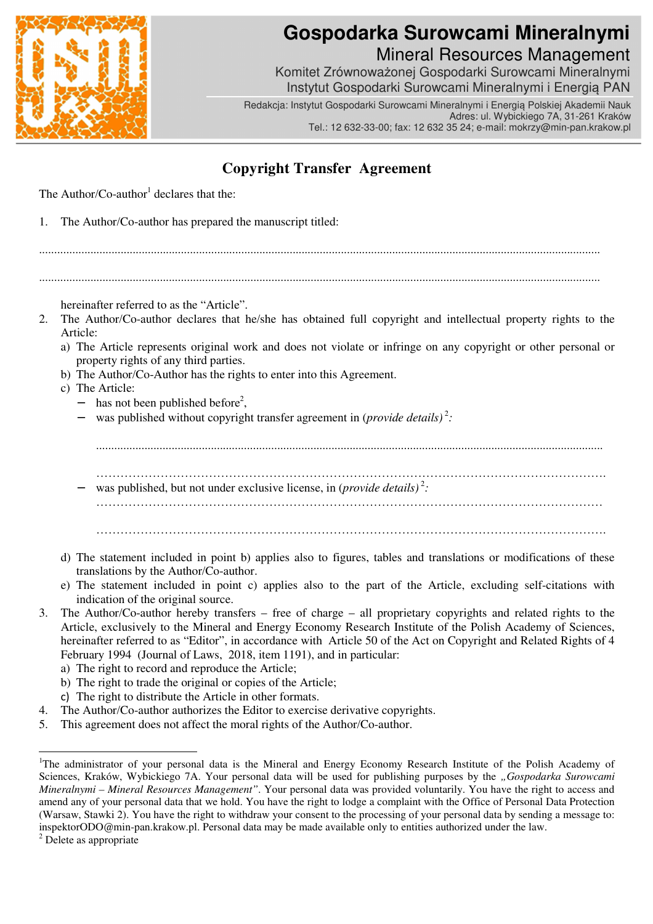

## **Gospodarka Surowcami Mineralnymi** Mineral Resources Management

Komitet Zrównoważonej Gospodarki Surowcami Mineralnymi Instytut Gospodarki Surowcami Mineralnymi i Energią PAN

Redakcja: Instytut Gospodarki Surowcami Mineralnymi i Energią Polskiej Akademii Nauk Adres: ul. Wybickiego 7A, 31-261 Kraków Tel.: 12 632-33-00; fax: 12 632 35 24; e-mail: mokrzy@min-pan.krakow.pl

## **Copyright Transfer Agreement**

The Author/ $Co$ -author<sup>1</sup> declares that the:

1. The Author/Co-author has prepared the manuscript titled:

..........................................................................................................................................................................................

..........................................................................................................................................................................................

hereinafter referred to as the "Article".

- 2. The Author/Co-author declares that he/she has obtained full copyright and intellectual property rights to the Article:
	- a) The Article represents original work and does not violate or infringe on any copyright or other personal or property rights of any third parties.
	- b) The Author/Co-Author has the rights to enter into this Agreement.
	- c) The Article:
		- − has not been published before<sup>2</sup>,
		- − was published without copyright transfer agreement in (*provide details*)<sup>2</sup>:

........................................................................................................................................................................

- ………………………………………………………………………………………………………………. − was published, but not under exclusive license, in (*provide details*)<sup>2</sup>: ………………………………………………………………………………………………………………
	- ……………………………………………………………………………………………………………….
- d) The statement included in point b) applies also to figures, tables and translations or modifications of these translations by the Author/Co-author.
- e) The statement included in point c) applies also to the part of the Article, excluding self-citations with indication of the original source.
- 3. The Author/Co-author hereby transfers free of charge all proprietary copyrights and related rights to the Article, exclusively to the Mineral and Energy Economy Research Institute of the Polish Academy of Sciences, hereinafter referred to as "Editor", in accordance with Article 50 of the Act on Copyright and Related Rights of 4 February 1994 (Journal of Laws, 2018, item 1191), and in particular:

a) The right to record and reproduce the Article;

- b) The right to trade the original or copies of the Article;
- c) The right to distribute the Article in other formats.
- 4. The Author/Co-author authorizes the Editor to exercise derivative copyrights.
- 5. This agreement does not affect the moral rights of the Author/Co-author.

 $\overline{a}$ 

<sup>&</sup>lt;sup>1</sup>The administrator of your personal data is the Mineral and Energy Economy Research Institute of the Polish Academy of Sciences, Kraków, Wybickiego 7A. Your personal data will be used for publishing purposes by the *"Gospodarka Surowcami Mineralnymi – Mineral Resources Management"*. Your personal data was provided voluntarily. You have the right to access and amend any of your personal data that we hold. You have the right to lodge a complaint with the Office of Personal Data Protection (Warsaw, Stawki 2). You have the right to withdraw your consent to the processing of your personal data by sending a message to: inspektorODO@min-pan.krakow.pl. Personal data may be made available only to entities authorized under the law.

<sup>&</sup>lt;sup>2</sup> Delete as appropriate